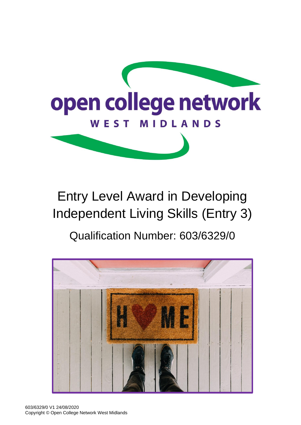

# Entry Level Award in Developing Independent Living Skills (Entry 3) Qualification Number: 603/6329/0

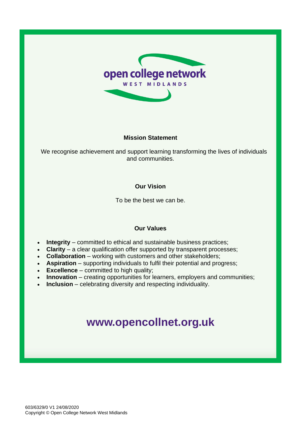

#### **Mission Statement**

We recognise achievement and support learning transforming the lives of individuals and communities.

### **Our Vision**

To be the best we can be.

### **Our Values**

- **Integrity** committed to ethical and sustainable business practices;
- **Clarity** a clear qualification offer supported by transparent processes;
- **Collaboration** working with customers and other stakeholders;
- **Aspiration** supporting individuals to fulfil their potential and progress;
- **Excellence** committed to high quality;
- **Innovation** creating opportunities for learners, employers and communities;
- **Inclusion** celebrating diversity and respecting individuality.

# **[www.opencollnet.org.](http://www.ocnwmr.org.uk/)uk**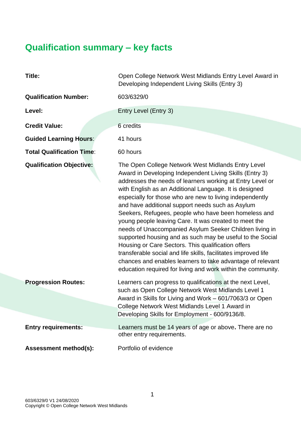# **Qualification summary – key facts**

| Title:                           | Open College Network West Midlands Entry Level Award in<br>Developing Independent Living Skills (Entry 3)                                                                                                                                                                                                                                                                                                                                                                                                                                                                                                                                                                                                                                                                                                                                           |
|----------------------------------|-----------------------------------------------------------------------------------------------------------------------------------------------------------------------------------------------------------------------------------------------------------------------------------------------------------------------------------------------------------------------------------------------------------------------------------------------------------------------------------------------------------------------------------------------------------------------------------------------------------------------------------------------------------------------------------------------------------------------------------------------------------------------------------------------------------------------------------------------------|
| <b>Qualification Number:</b>     | 603/6329/0                                                                                                                                                                                                                                                                                                                                                                                                                                                                                                                                                                                                                                                                                                                                                                                                                                          |
| Level:                           | Entry Level (Entry 3)                                                                                                                                                                                                                                                                                                                                                                                                                                                                                                                                                                                                                                                                                                                                                                                                                               |
| <b>Credit Value:</b>             | 6 credits                                                                                                                                                                                                                                                                                                                                                                                                                                                                                                                                                                                                                                                                                                                                                                                                                                           |
| <b>Guided Learning Hours:</b>    | 41 hours                                                                                                                                                                                                                                                                                                                                                                                                                                                                                                                                                                                                                                                                                                                                                                                                                                            |
| <b>Total Qualification Time:</b> | 60 hours                                                                                                                                                                                                                                                                                                                                                                                                                                                                                                                                                                                                                                                                                                                                                                                                                                            |
| <b>Qualification Objective:</b>  | The Open College Network West Midlands Entry Level<br>Award in Developing Independent Living Skills (Entry 3)<br>addresses the needs of learners working at Entry Level or<br>with English as an Additional Language. It is designed<br>especially for those who are new to living independently<br>and have additional support needs such as Asylum<br>Seekers, Refugees, people who have been homeless and<br>young people leaving Care. It was created to meet the<br>needs of Unaccompanied Asylum Seeker Children living in<br>supported housing and as such may be useful to the Social<br>Housing or Care Sectors. This qualification offers<br>transferable social and life skills, facilitates improved life<br>chances and enables learners to take advantage of relevant<br>education required for living and work within the community. |
| <b>Progression Routes:</b>       | Learners can progress to qualifications at the next Level,<br>such as Open College Network West Midlands Level 1<br>Award in Skills for Living and Work - 601/7063/3 or Open<br>College Network West Midlands Level 1 Award in<br>Developing Skills for Employment - 600/9136/8.                                                                                                                                                                                                                                                                                                                                                                                                                                                                                                                                                                    |
| <b>Entry requirements:</b>       | Learners must be 14 years of age or above. There are no<br>other entry requirements.                                                                                                                                                                                                                                                                                                                                                                                                                                                                                                                                                                                                                                                                                                                                                                |
| <b>Assessment method(s):</b>     | Portfolio of evidence                                                                                                                                                                                                                                                                                                                                                                                                                                                                                                                                                                                                                                                                                                                                                                                                                               |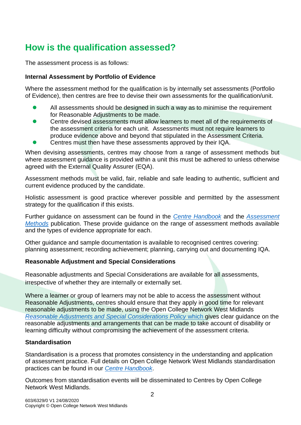## **How is the qualification assessed?**

The assessment process is as follows:

#### **Internal Assessment by Portfolio of Evidence**

Where the assessment method for the qualification is by internally set assessments (Portfolio of Evidence), then centres are free to devise their own assessments for the qualification/unit.

- ⚫ All assessments should be designed in such a way as to minimise the requirement for Reasonable Adjustments to be made.
- ⚫ Centre devised assessments must allow learners to meet all of the requirements of the assessment criteria for each unit. Assessments must not require learners to produce evidence above and beyond that stipulated in the Assessment Criteria.
- ⚫ Centres must then have these assessments approved by their IQA.

When devising assessments, centres may choose from a range of assessment methods but where assessment guidance is provided within a unit this must be adhered to unless otherwise agreed with the External Quality Assurer (EQA).

Assessment methods must be valid, fair, reliable and safe leading to authentic, sufficient and current evidence produced by the candidate.

Holistic assessment is good practice wherever possible and permitted by the assessment strategy for the qualification if this exists.

Further guidance on assessment can be found in the *[Centre Handbook](http://www.opencollnet.org.uk/centres/assessment-and-evidence?search=)* and the *[Assessment](http://www.opencollnet.org.uk/centres/assessment-and-evidence?search=)  [Methods](http://www.opencollnet.org.uk/centres/assessment-and-evidence?search=)* publication. These provide guidance on the range of assessment methods available and the types of evidence appropriate for each.

Other guidance and sample documentation is available to recognised centres covering: planning assessment; recording achievement; planning, carrying out and documenting IQA.

### **Reasonable Adjustment and Special Considerations**

Reasonable adjustments and Special Considerations are available for all assessments, irrespective of whether they are internally or externally set.

Where a learner or group of learners may not be able to access the assessment without Reasonable Adjustments, centres should ensure that they apply in good time for relevant reasonable adjustments to be made, using the Open College Network West Midlands *[Reasonable Adjustments and Special Considerations Policy](http://www.opencollnet.org.uk/centres/policies-and-procedures?search=)* which gives clear guidance on the reasonable adjustments and arrangements that can be made to take account of disability or learning difficulty without compromising the achievement of the assessment criteria.

#### **Standardisation**

Standardisation is a process that promotes consistency in the understanding and application of assessment practice. Full details on Open College Network West Midlands standardisation practices can be found in our *[Centre Handbook](http://www.opencollnet.org.uk/centres/assessment-and-evidence)*.

Outcomes from standardisation events will be disseminated to Centres by Open College Network West Midlands.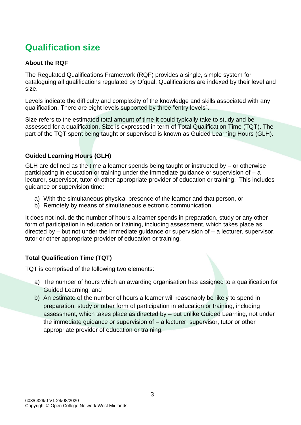## **Qualification size**

### **About the RQF**

The Regulated Qualifications Framework (RQF) provides a single, simple system for cataloguing all qualifications regulated by Ofqual. Qualifications are indexed by their level and size.

Levels indicate the difficulty and complexity of the knowledge and skills associated with any qualification. There are eight levels supported by three "entry levels".

Size refers to the estimated total amount of time it could typically take to study and be assessed for a qualification. Size is expressed in term of Total Qualification Time (TQT). The part of the TQT spent being taught or supervised is known as Guided Learning Hours (GLH).

### **Guided Learning Hours (GLH)**

GLH are defined as the time a learner spends being taught or instructed by – or otherwise participating in education or training under the immediate guidance or supervision of – a lecturer, supervisor, tutor or other appropriate provider of education or training. This includes guidance or supervision time:

- a) With the simultaneous physical presence of the learner and that person, or
- b) Remotely by means of simultaneous electronic communication.

It does not include the number of hours a learner spends in preparation, study or any other form of participation in education or training, including assessment, which takes place as directed by – but not under the immediate guidance or supervision of – a lecturer, supervisor, tutor or other appropriate provider of education or training.

### **Total Qualification Time (TQT)**

TQT is comprised of the following two elements:

- a) The number of hours which an awarding organisation has assigned to a qualification for Guided Learning, and
- b) An estimate of the number of hours a learner will reasonably be likely to spend in preparation, study or other form of participation in education or training, including assessment, which takes place as directed by – but unlike Guided Learning, not under the immediate guidance or supervision of – a lecturer, supervisor, tutor or other appropriate provider of education or training.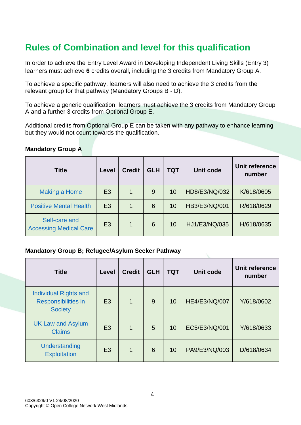## **Rules of Combination and level for this qualification**

In order to achieve the Entry Level Award in Developing Independent Living Skills (Entry 3) learners must achieve **6** credits overall, including the 3 credits from Mandatory Group A.

To achieve a specific pathway, learners will also need to achieve the 3 credits from the relevant group for that pathway (Mandatory Groups B - D).

To achieve a generic qualification, learners must achieve the 3 credits from Mandatory Group A and a further 3 credits from Optional Group E.

Additional credits from Optional Group E can be taken with any pathway to enhance learning but they would not count towards the qualification.

#### **Mandatory Group A**

| <b>Title</b>                                   | Level          | <b>Credit</b> | <b>GLH</b> | <b>TQT</b> | <b>Unit code</b> | Unit reference<br>number |
|------------------------------------------------|----------------|---------------|------------|------------|------------------|--------------------------|
| <b>Making a Home</b>                           | E <sub>3</sub> |               | 9          | 10         | HD8/E3/NQ/032    | K/618/0605               |
| <b>Positive Mental Health</b>                  | E <sub>3</sub> |               | 6          | 10         | HB3/E3/NQ/001    | R/618/0629               |
| Self-care and<br><b>Accessing Medical Care</b> | E <sub>3</sub> |               | 6          | 10         | HJ1/E3/NQ/035    | H/618/0635               |

#### **Mandatory Group B; Refugee/Asylum Seeker Pathway**

| <b>Title</b>                                                                 | <b>Level</b>   | <b>Credit</b> | <b>GLH</b> | <b>TQT</b> | Unit code            | Unit reference<br>number |
|------------------------------------------------------------------------------|----------------|---------------|------------|------------|----------------------|--------------------------|
| <b>Individual Rights and</b><br><b>Responsibilities in</b><br><b>Society</b> | E <sub>3</sub> | $\mathbf 1$   | 9          | 10         | <b>HE4/E3/NQ/007</b> | Y/618/0602               |
| <b>UK Law and Asylum</b><br><b>Claims</b>                                    | E <sub>3</sub> | $\mathbf 1$   | 5          | 10         | EC5/E3/NQ/001        | Y/618/0633               |
| Understanding<br><b>Exploitation</b>                                         | E <sub>3</sub> | 1             | 6          | 10         | PA9/E3/NQ/003        | D/618/0634               |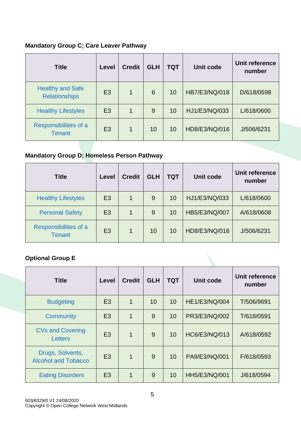### **Mandatory Group C; Care Leaver Pathway**

| <b>Title</b>                                    | Level          | <b>Credit</b> | <b>GLH</b> | <b>TQT</b> | <b>Unit code</b> | Unit reference<br>number |
|-------------------------------------------------|----------------|---------------|------------|------------|------------------|--------------------------|
| <b>Healthy and Safe</b><br><b>Relationships</b> | E <sub>3</sub> | 1             | 6          | 10         | HB7/E3/NQ/018    | D/618/0598               |
| <b>Healthy Lifestyles</b>                       | E <sub>3</sub> | 1             | 9          | 10         | HJ1/E3/NQ/033    | L/618/0600               |
| Responsibilities of a<br><b>Tenant</b>          | E <sub>3</sub> | 1             | 10         | 10         | HD8/E3/NQ/016    | J/506/6231               |

### **Mandatory Group D; Homeless Person Pathway**

| <b>Title</b>                           | Level          | <b>Credit</b> | <b>GLH</b> | <b>TQT</b> | <b>Unit code</b> | Unit reference<br>number |
|----------------------------------------|----------------|---------------|------------|------------|------------------|--------------------------|
| <b>Healthy Lifestyles</b>              | E <sub>3</sub> | 1             | 9          | 10         | HJ1/E3/NQ/033    | L/618/0600               |
| <b>Personal Safety</b>                 | E <sub>3</sub> |               | 9          | 10         | HB5/E3/NQ/007    | A/618/0608               |
| Responsibilities of a<br><b>Tenant</b> | E <sub>3</sub> | 1             | 10         | 10         | HD8/E3/NQ/016    | J/506/6231               |

### **Optional Group E**

| <b>Title</b>                                   | Level          | <b>Credit</b>  | <b>GLH</b> | <b>TQT</b> | <b>Unit code</b> | Unit reference<br>number |
|------------------------------------------------|----------------|----------------|------------|------------|------------------|--------------------------|
| <b>Budgeting</b>                               | E <sub>3</sub> | 1              | 10         | 10         | HE1/E3/NQ/004    | T/506/9691               |
| Community                                      | E <sub>3</sub> | $\overline{1}$ | 9          | 10         | PR3/E3/NQ/002    | T/618/0591               |
| <b>CVs and Covering</b><br><b>Letters</b>      | E <sub>3</sub> | 1              | 9          | 10         | HC6/E3/NQ/013    | A/618/0592               |
| Drugs, Solvents,<br><b>Alcohol and Tobacco</b> | E <sub>3</sub> | $\overline{1}$ | 9          | 10         | PA9/E3/NQ/001    | F/618/0593               |
| <b>Eating Disorders</b>                        | E <sub>3</sub> | 1              | 9          | 10         | HH5/E3/NQ/001    | J/618/0594               |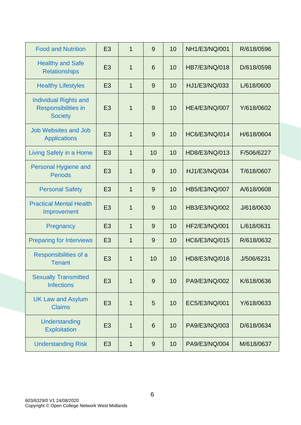| <b>Food and Nutrition</b>                                                    | E <sub>3</sub> | $\mathbf{1}$ | 9  | 10 | NH1/E3/NQ/001 | R/618/0596 |
|------------------------------------------------------------------------------|----------------|--------------|----|----|---------------|------------|
| <b>Healthy and Safe</b><br><b>Relationships</b>                              | E <sub>3</sub> | 1            | 6  | 10 | HB7/E3/NQ/018 | D/618/0598 |
| <b>Healthy Lifestyles</b>                                                    | E <sub>3</sub> | 1            | 9  | 10 | HJ1/E3/NQ/033 | L/618/0600 |
| <b>Individual Rights and</b><br><b>Responsibilities in</b><br><b>Society</b> | E <sub>3</sub> | $\mathbf{1}$ | 9  | 10 | HE4/E3/NQ/007 | Y/618/0602 |
| <b>Job Websites and Job</b><br><b>Applications</b>                           | E <sub>3</sub> | 1            | 9  | 10 | HC6/E3/NQ/014 | H/618/0604 |
| Living Safely in a Home                                                      | E <sub>3</sub> | 1            | 10 | 10 | HD8/E3/NQ/013 | F/506/6227 |
| Personal Hygiene and<br><b>Periods</b>                                       | E <sub>3</sub> | 1            | 9  | 10 | HJ1/E3/NQ/034 | T/618/0607 |
| <b>Personal Safety</b>                                                       | E <sub>3</sub> | 1            | 9  | 10 | HB5/E3/NQ/007 | A/618/0608 |
| <b>Practical Mental Health</b><br>Improvement                                | E <sub>3</sub> | $\mathbf{1}$ | 9  | 10 | HB3/E3/NQ/002 | J/618/0630 |
| Pregnancy                                                                    | E <sub>3</sub> | $\mathbf{1}$ | 9  | 10 | HF2/E3/NQ/001 | L/618/0631 |
| <b>Preparing for Interviews</b>                                              | E <sub>3</sub> | 1            | 9  | 10 | HC6/E3/NQ/015 | R/618/0632 |
| Responsibilities of a<br><b>Tenant</b>                                       | E <sub>3</sub> | 1            | 10 | 10 | HD8/E3/NQ/016 | J/506/6231 |
| <b>Sexually Transmitted</b><br><b>Infections</b>                             | E <sub>3</sub> | $\mathbf{1}$ | 9  | 10 | PA9/E3/NQ/002 | K/618/0636 |
| <b>UK Law and Asylum</b><br><b>Claims</b>                                    | E <sub>3</sub> | 1            | 5  | 10 | EC5/E3/NQ/001 | Y/618/0633 |
| Understanding<br><b>Exploitation</b>                                         | E <sub>3</sub> | 1            | 6  | 10 | PA9/E3/NQ/003 | D/618/0634 |
| <b>Understanding Risk</b>                                                    | E <sub>3</sub> | $\mathbf{1}$ | 9  | 10 | PA9/E3/NQ/004 | M/618/0637 |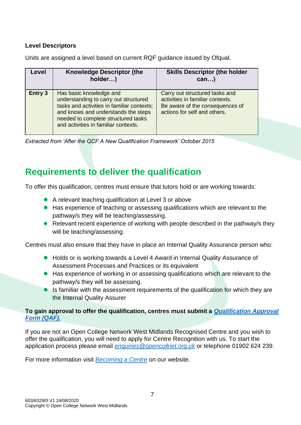### **Level Descriptors**

Units are assigned a level based on current RQF guidance issued by Ofqual.

| Level          | <b>Knowledge Descriptor (the</b><br>holder)                                                                                                                                                                                          | <b>Skills Descriptor (the holder</b><br>$can$ )                                                                                       |
|----------------|--------------------------------------------------------------------------------------------------------------------------------------------------------------------------------------------------------------------------------------|---------------------------------------------------------------------------------------------------------------------------------------|
| <b>Entry 3</b> | Has basic knowledge and<br>understanding to carry out structured<br>tasks and activities in familiar contexts;<br>and knows and understands the steps<br>needed to complete structured tasks<br>and activities in familiar contexts. | Carry out structured tasks and<br>activities in familiar contexts.<br>Be aware of the consequences of<br>actions for self and others. |

*Extracted from 'After the QCF A New Qualification Framework' October 2015*

### **Requirements to deliver the qualification**

To offer this qualification, centres must ensure that tutors hold or are working towards:

- A relevant teaching qualification at Level 3 or above
- Has experience of teaching or assessing qualifications which are relevant to the pathway/s they will be teaching/assessing.
- Relevant recent experience of working with people described in the pathway/s they will be teaching/assessing.

Centres must also ensure that they have in place an Internal Quality Assurance person who:

- Holds or is working towards a Level 4 Award in Internal Quality Assurance of Assessment Processes and Practices or its equivalent
- Has experience of working in or assessing qualifications which are relevant to the pathway/s they will be assessing.
- Is familiar with the assessment requirements of the qualification for which they are the Internal Quality Assurer

### **To gain approval to offer the qualification, centres must submit a** *[Qualification Approval](https://www.opencollnet.org.uk/qualifications/qualification-approval)  [Form \(QAF\).](https://www.opencollnet.org.uk/qualifications/qualification-approval)*

If you are not an Open College Network West Midlands Recognised Centre and you wish to offer the qualification, you will need to apply for Centre Recognition with us. To start the application process please email *[enquiries@opencollnet.org.uk](mailto:enquiries@opencollnet.org.uk)* or telephone 01902 624 239.

For more information visit *[Becoming a Centre](http://www.opencollnet.org.uk/centres/becoming-a-centre)* on our website.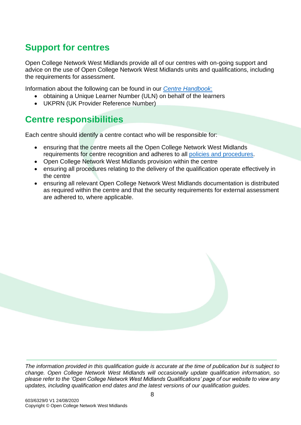### **Support for centres**

Open College Network West Midlands provide all of our centres with on-going support and advice on the use of Open College Network West Midlands units and qualifications, including the requirements for assessment.

Information about the following can be found in our *[Centre Handbook](http://www.opencollnet.org.uk/centres/assessment-and-evidence)*:

- obtaining a Unique Learner Number (ULN) on behalf of the learners
- UKPRN (UK Provider Reference Number)

### **Centre responsibilities**

Each centre should identify a centre contact who will be responsible for:

- ensuring that the centre meets all the Open College Network West Midlands requirements for centre recognition and adheres to all [policies and procedures.](http://www.opencollnet.org.uk/centres/policies-and-procedures)
- Open College Network West Midlands provision within the centre
- ensuring all procedures relating to the delivery of the qualification operate effectively in the centre
- ensuring all relevant Open College Network West Midlands documentation is distributed as required within the centre and that the security requirements for external assessment are adhered to, where applicable.



*The information provided in this qualification guide is accurate at the time of publication but is subject to change. Open College Network West Midlands will occasionally update qualification information, so please refer to the 'Open College Network West Midlands Qualifications' page of our website to view any updates, including qualification end dates and the latest versions of our qualification guides.*